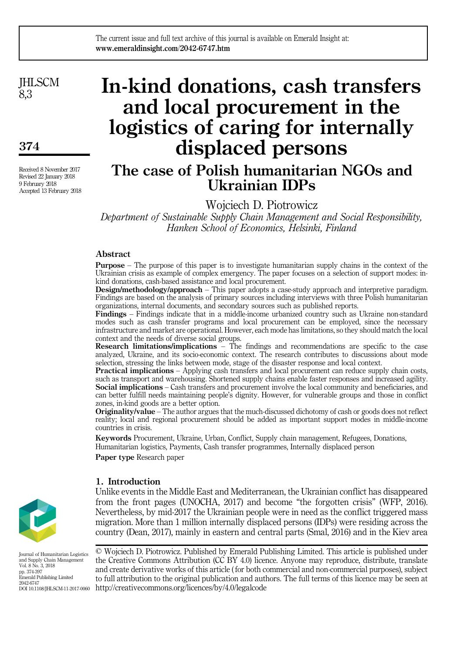**IHLSCM** 8,3

374

Received 8 November 2017 Revised 22 January 2018 9 February 2018 Accepted 13 February 2018

# In-kind donations, cash transfers and local procurement in the logistics of caring for internally displaced persons

# The case of Polish humanitarian NGOs and Ukrainian IDPs

Wojciech D. Piotrowicz

Department of Sustainable Subply Chain Management and Social Responsibility, Hanken School of Economics, Helsinki, Finland

# Abstract

Purpose – The purpose of this paper is to investigate humanitarian supply chains in the context of the Ukrainian crisis as example of complex emergency. The paper focuses on a selection of support modes: inkind donations, cash-based assistance and local procurement.

Design/methodology/approach – This paper adopts a case-study approach and interpretive paradigm. Findings are based on the analysis of primary sources including interviews with three Polish humanitarian organizations, internal documents, and secondary sources such as published reports.

Findings – Findings indicate that in a middle-income urbanized country such as Ukraine non-standard modes such as cash transfer programs and local procurement can be employed, since the necessary infrastructure and market are operational. However, each mode has limitations, so they should match the local context and the needs of diverse social groups.

Research limitations/implications – The findings and recommendations are specific to the case analyzed, Ukraine, and its socio-economic context. The research contributes to discussions about mode selection, stressing the links between mode, stage of the disaster response and local context.

Practical implications – Applying cash transfers and local procurement can reduce supply chain costs, such as transport and warehousing. Shortened supply chains enable faster responses and increased agility. Social implications – Cash transfers and procurement involve the local community and beneficiaries, and can better fulfill needs maintaining people's dignity. However, for vulnerable groups and those in conflict zones, in-kind goods are a better option.

Originality/value – The author argues that the much-discussed dichotomy of cash or goods does not reflect reality; local and regional procurement should be added as important support modes in middle-income countries in crisis.

Keywords Procurement, Ukraine, Urban, Conflict, Supply chain management, Refugees, Donations, Humanitarian logistics, Payments, Cash transfer programmes, Internally displaced person

Paper type Research paper

# 1. Introduction

Unlike events in the Middle East and Mediterranean, the Ukrainian conflict has disappeared from the front pages (UNOCHA, 2017) and become "the forgotten crisis" (WFP, 2016). Nevertheless, by mid-2017 the Ukrainian people were in need as the conflict triggered mass migration. More than 1 million internally displaced persons (IDPs) were residing across the country (Dean, 2017), mainly in eastern and central parts (Smal, 2016) and in the Kiev area

© Wojciech D. Piotrowicz. Published by Emerald Publishing Limited. This article is published under the Creative Commons Attribution (CC BY 4.0) licence. Anyone may reproduce, distribute, translate and create derivative works of this article ( for both commercial and non-commercial purposes), subject to full attribution to the original publication and authors. The full terms of this licence may be seen at http://creativecommons.org/licences/by/4.0/legalcode



Journal of Humanitarian Logistics and Supply Chain Management Vol. 8 No. 3, 2018 pp. 374-397 Emerald Publishing Limited 2042-6747 DOI 10.1108/JHLSCM-11-2017-0060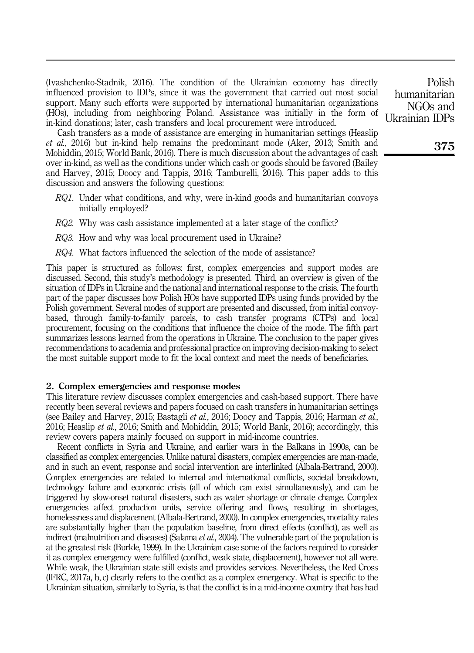(Ivashchenko-Stadnik, 2016). The condition of the Ukrainian economy has directly influenced provision to IDPs, since it was the government that carried out most social support. Many such efforts were supported by international humanitarian organizations (HOs), including from neighboring Poland. Assistance was initially in the form of in-kind donations; later, cash transfers and local procurement were introduced.

Cash transfers as a mode of assistance are emerging in humanitarian settings (Heaslip et al., 2016) but in-kind help remains the predominant mode (Aker, 2013; Smith and Mohiddin, 2015; World Bank, 2016). There is much discussion about the advantages of cash over in-kind, as well as the conditions under which cash or goods should be favored (Bailey and Harvey, 2015; Doocy and Tappis, 2016; Tamburelli, 2016). This paper adds to this discussion and answers the following questions:

- RQ1. Under what conditions, and why, were in-kind goods and humanitarian convoys initially employed?
- RQ2. Why was cash assistance implemented at a later stage of the conflict?
- RQ3. How and why was local procurement used in Ukraine?
- RQ4. What factors influenced the selection of the mode of assistance?

This paper is structured as follows: first, complex emergencies and support modes are discussed. Second, this study's methodology is presented. Third, an overview is given of the situation of IDPs in Ukraine and the national and international response to the crisis. The fourth part of the paper discusses how Polish HOs have supported IDPs using funds provided by the Polish government. Several modes of support are presented and discussed, from initial convoybased, through family-to-family parcels, to cash transfer programs (CTPs) and local procurement, focusing on the conditions that influence the choice of the mode. The fifth part summarizes lessons learned from the operations in Ukraine. The conclusion to the paper gives recommendations to academia and professional practice on improving decision-making to select the most suitable support mode to fit the local context and meet the needs of beneficiaries.

#### 2. Complex emergencies and response modes

This literature review discusses complex emergencies and cash-based support. There have recently been several reviews and papers focused on cash transfers in humanitarian settings (see Bailey and Harvey, 2015; Bastagli et al., 2016; Doocy and Tappis, 2016; Harman et al., 2016; Heaslip et al., 2016; Smith and Mohiddin, 2015; World Bank, 2016); accordingly, this review covers papers mainly focused on support in mid-income countries.

Recent conflicts in Syria and Ukraine, and earlier wars in the Balkans in 1990s, can be classified as complex emergencies. Unlike natural disasters, complex emergencies are man-made, and in such an event, response and social intervention are interlinked (Albala-Bertrand, 2000). Complex emergencies are related to internal and international conflicts, societal breakdown, technology failure and economic crisis (all of which can exist simultaneously), and can be triggered by slow-onset natural disasters, such as water shortage or climate change. Complex emergencies affect production units, service offering and flows, resulting in shortages, homelessness and displacement (Albala-Bertrand, 2000). In complex emergencies, mortality rates are substantially higher than the population baseline, from direct effects (conflict), as well as indirect (malnutrition and diseases) (Salama *et al.*, 2004). The vulnerable part of the population is at the greatest risk (Burkle, 1999). In the Ukrainian case some of the factors required to consider it as complex emergency were fulfilled (conflict, weak state, displacement), however not all were. While weak, the Ukrainian state still exists and provides services. Nevertheless, the Red Cross (IFRC, 2017a, b, c) clearly refers to the conflict as a complex emergency. What is specific to the Ukrainian situation, similarly to Syria, is that the conflict is in a mid-income country that has had

Polish humanitarian NGOs and Ukrainian IDPs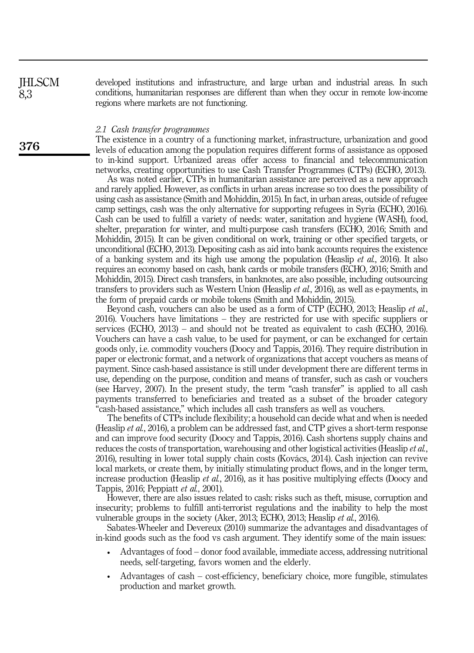developed institutions and infrastructure, and large urban and industrial areas. In such conditions, humanitarian responses are different than when they occur in remote low-income regions where markets are not functioning.

#### 2.1 Cash transfer programmes

The existence in a country of a functioning market, infrastructure, urbanization and good levels of education among the population requires different forms of assistance as opposed to in-kind support. Urbanized areas offer access to financial and telecommunication networks, creating opportunities to use Cash Transfer Programmes (CTPs) (ECHO, 2013).

As was noted earlier, CTPs in humanitarian assistance are perceived as a new approach and rarely applied. However, as conflicts in urban areas increase so too does the possibility of using cash as assistance (Smith and Mohiddin, 2015). In fact, in urban areas, outside of refugee camp settings, cash was the only alternative for supporting refugees in Syria (ECHO, 2016). Cash can be used to fulfill a variety of needs: water, sanitation and hygiene (WASH), food, shelter, preparation for winter, and multi-purpose cash transfers (ECHO, 2016; Smith and Mohiddin, 2015). It can be given conditional on work, training or other specified targets, or unconditional (ECHO, 2013). Depositing cash as aid into bank accounts requires the existence of a banking system and its high use among the population (Heasilp *et al.*, 2016). It also requires an economy based on cash, bank cards or mobile transfers (ECHO, 2016; Smith and Mohiddin, 2015). Direct cash transfers, in banknotes, are also possible, including outsourcing transfers to providers such as Western Union (Heaslip et al., 2016), as well as e-payments, in the form of prepaid cards or mobile tokens (Smith and Mohiddin, 2015).

Beyond cash, vouchers can also be used as a form of CTP (ECHO, 2013; Heaslip et al., 2016). Vouchers have limitations – they are restricted for use with specific suppliers or services (ECHO, 2013) – and should not be treated as equivalent to cash (ECHO, 2016). Vouchers can have a cash value, to be used for payment, or can be exchanged for certain goods only, i.e. commodity vouchers (Doocy and Tappis, 2016). They require distribution in paper or electronic format, and a network of organizations that accept vouchers as means of payment. Since cash-based assistance is still under development there are different terms in use, depending on the purpose, condition and means of transfer, such as cash or vouchers (see Harvey, 2007). In the present study, the term "cash transfer" is applied to all cash payments transferred to beneficiaries and treated as a subset of the broader category "cash-based assistance," which includes all cash transfers as well as vouchers.

The benefits of CTPs include flexibility; a household can decide what and when is needed (Heaslip et al., 2016), a problem can be addressed fast, and CTP gives a short-term response and can improve food security (Doocy and Tappis, 2016). Cash shortens supply chains and reduces the costs of transportation, warehousing and other logistical activities (Heaslip *et al.*, 2016), resulting in lower total supply chain costs (Kovács, 2014). Cash injection can revive local markets, or create them, by initially stimulating product flows, and in the longer term, increase production (Heaslip et al., 2016), as it has positive multiplying effects (Doocy and Tappis, 2016; Peppiatt et al., 2001).

However, there are also issues related to cash: risks such as theft, misuse, corruption and insecurity; problems to fulfill anti-terrorist regulations and the inability to help the most vulnerable groups in the society (Aker, 2013; ECHO, 2013; Heaslip et al., 2016).

Sabates-Wheeler and Devereux (2010) summarize the advantages and disadvantages of in-kind goods such as the food vs cash argument. They identify some of the main issues:

- Advantages of food donor food available, immediate access, addressing nutritional needs, self-targeting, favors women and the elderly.
- Advantages of cash cost-efficiency, beneficiary choice, more fungible, stimulates production and market growth.

376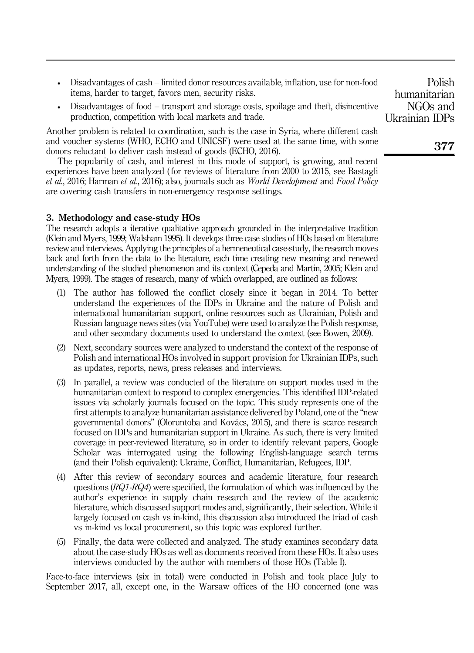- Disadvantages of cash limited donor resources available, inflation, use for non-food items, harder to target, favors men, security risks.
- Disadvantages of food transport and storage costs, spoilage and theft, disincentive production, competition with local markets and trade.

Another problem is related to coordination, such is the case in Syria, where different cash and voucher systems (WHO, ECHO and UNICSF) were used at the same time, with some donors reluctant to deliver cash instead of goods (ECHO, 2016).

The popularity of cash, and interest in this mode of support, is growing, and recent experiences have been analyzed ( for reviews of literature from 2000 to 2015, see Bastagli et al., 2016; Harman et al., 2016); also, journals such as World Development and Food Policy are covering cash transfers in non-emergency response settings.

# 3. Methodology and case-study HOs

The research adopts a iterative qualitative approach grounded in the interpretative tradition (Klein and Myers, 1999; Walsham 1995). It develops three case studies of HOs based on literature review and interviews. Applying the principles of a hermeneutical case-study, the research moves back and forth from the data to the literature, each time creating new meaning and renewed understanding of the studied phenomenon and its context (Cepeda and Martin, 2005; Klein and Myers, 1999). The stages of research, many of which overlapped, are outlined as follows:

- (1) The author has followed the conflict closely since it began in 2014. To better understand the experiences of the IDPs in Ukraine and the nature of Polish and international humanitarian support, online resources such as Ukrainian, Polish and Russian language news sites (via YouTube) were used to analyze the Polish response, and other secondary documents used to understand the context (see Bowen, 2009).
- (2) Next, secondary sources were analyzed to understand the context of the response of Polish and international HOs involved in support provision for Ukrainian IDPs, such as updates, reports, news, press releases and interviews.
- (3) In parallel, a review was conducted of the literature on support modes used in the humanitarian context to respond to complex emergencies. This identified IDP-related issues via scholarly journals focused on the topic. This study represents one of the first attempts to analyze humanitarian assistance delivered by Poland, one of the "new governmental donors" (Oloruntoba and Kovács, 2015), and there is scarce research focused on IDPs and humanitarian support in Ukraine. As such, there is very limited coverage in peer-reviewed literature, so in order to identify relevant papers, Google Scholar was interrogated using the following English-language search terms (and their Polish equivalent): Ukraine, Conflict, Humanitarian, Refugees, IDP.
- (4) After this review of secondary sources and academic literature, four research questions  $(RQ1-RQ4)$  were specified, the formulation of which was influenced by the author's experience in supply chain research and the review of the academic literature, which discussed support modes and, significantly, their selection. While it largely focused on cash vs in-kind, this discussion also introduced the triad of cash vs in-kind vs local procurement, so this topic was explored further.
- (5) Finally, the data were collected and analyzed. The study examines secondary data about the case-study HOs as well as documents received from these HOs. It also uses interviews conducted by the author with members of those HOs (Table I).

Face-to-face interviews (six in total) were conducted in Polish and took place July to September 2017, all, except one, in the Warsaw offices of the HO concerned (one was

Polish humanitarian NGOs and Ukrainian IDPs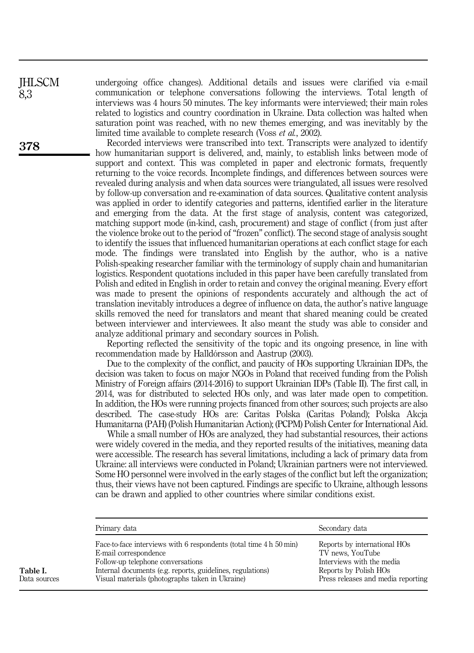undergoing office changes). Additional details and issues were clarified via e-mail communication or telephone conversations following the interviews. Total length of interviews was 4 hours 50 minutes. The key informants were interviewed; their main roles related to logistics and country coordination in Ukraine. Data collection was halted when saturation point was reached, with no new themes emerging, and was inevitably by the limited time available to complete research (Voss et al., 2002).

Recorded interviews were transcribed into text. Transcripts were analyzed to identify how humanitarian support is delivered, and, mainly, to establish links between mode of support and context. This was completed in paper and electronic formats, frequently returning to the voice records. Incomplete findings, and differences between sources were revealed during analysis and when data sources were triangulated, all issues were resolved by follow-up conversation and re-examination of data sources. Qualitative content analysis was applied in order to identify categories and patterns, identified earlier in the literature and emerging from the data. At the first stage of analysis, content was categorized, matching support mode (in-kind, cash, procurement) and stage of conflict ( from just after the violence broke out to the period of "frozen" conflict). The second stage of analysis sought to identify the issues that influenced humanitarian operations at each conflict stage for each mode. The findings were translated into English by the author, who is a native Polish-speaking researcher familiar with the terminology of supply chain and humanitarian logistics. Respondent quotations included in this paper have been carefully translated from Polish and edited in English in order to retain and convey the original meaning. Every effort was made to present the opinions of respondents accurately and although the act of translation inevitably introduces a degree of influence on data, the author's native language skills removed the need for translators and meant that shared meaning could be created between interviewer and interviewees. It also meant the study was able to consider and analyze additional primary and secondary sources in Polish.

Reporting reflected the sensitivity of the topic and its ongoing presence, in line with recommendation made by Halldórsson and Aastrup (2003).

Due to the complexity of the conflict, and paucity of HOs supporting Ukrainian IDPs, the decision was taken to focus on major NGOs in Poland that received funding from the Polish Ministry of Foreign affairs (2014-2016) to support Ukrainian IDPs (Table II). The first call, in 2014, was for distributed to selected HOs only, and was later made open to competition. In addition, the HOs were running projects financed from other sources; such projects are also described. The case-study HOs are: Caritas Polska (Caritas Poland); Polska Akcja Humanitarna (PAH) (Polish Humanitarian Action); (PCPM) Polish Center for International Aid.

While a small number of HOs are analyzed, they had substantial resources, their actions were widely covered in the media, and they reported results of the initiatives, meaning data were accessible. The research has several limitations, including a lack of primary data from Ukraine: all interviews were conducted in Poland; Ukrainian partners were not interviewed. Some HO personnel were involved in the early stages of the conflict but left the organization; thus, their views have not been captured. Findings are specific to Ukraine, although lessons can be drawn and applied to other countries where similar conditions exist.

|                          | Primary data                                                                                                                                                                                                                                      | Secondary data                                                                                                                               |  |
|--------------------------|---------------------------------------------------------------------------------------------------------------------------------------------------------------------------------------------------------------------------------------------------|----------------------------------------------------------------------------------------------------------------------------------------------|--|
| Table I.<br>Data sources | Face-to-face interviews with 6 respondents (total time 4 h 50 min)<br>E-mail correspondence<br>Follow-up telephone conversations<br>Internal documents (e.g. reports, guidelines, regulations)<br>Visual materials (photographs taken in Ukraine) | Reports by international HOs<br>TV news, YouTube<br>Interviews with the media<br>Reports by Polish HOs<br>Press releases and media reporting |  |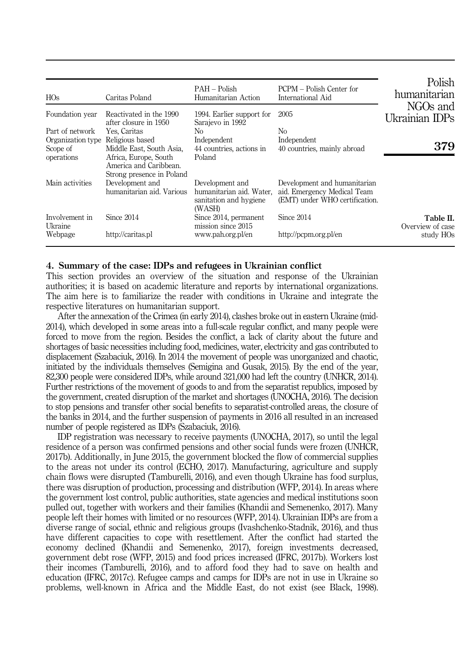| HOS                                                            | Caritas Poland                                                                                                                              | PAH – Polish<br>Humanitarian Action                                             | PCPM – Polish Center for<br>International Aid                                                 | Polish<br>humanitarian                     |
|----------------------------------------------------------------|---------------------------------------------------------------------------------------------------------------------------------------------|---------------------------------------------------------------------------------|-----------------------------------------------------------------------------------------------|--------------------------------------------|
| Foundation year                                                | Reactivated in the 1990<br>after closure in 1950                                                                                            | 1994. Earlier support for<br>Sarajevo in 1992                                   | 2005                                                                                          | NGOs and<br>Ukrainian IDPs                 |
| Part of network<br>Organization type<br>Scope of<br>operations | Yes, Caritas<br>Religious based<br>Middle East, South Asia,<br>Africa, Europe, South<br>America and Caribbean.<br>Strong presence in Poland | No<br>Independent<br>44 countries, actions in<br>Poland                         | N <sub>0</sub><br>Independent<br>40 countries, mainly abroad                                  | 379                                        |
| Main activities                                                | Development and<br>humanitarian aid. Various                                                                                                | Development and<br>humanitarian aid. Water.<br>sanitation and hygiene<br>(WASH) | Development and humanitarian<br>aid. Emergency Medical Team<br>(EMT) under WHO certification. |                                            |
| Involvement in<br>Ukraine<br>Webpage                           | Since 2014<br>http://caritas.pl                                                                                                             | Since 2014, permanent<br>mission since 2015<br>www.pah.org.pl/en                | Since 2014<br>http://pcpm.org.pl/en                                                           | Table II.<br>Overview of case<br>study HOs |

### 4. Summary of the case: IDPs and refugees in Ukrainian conflict

This section provides an overview of the situation and response of the Ukrainian authorities; it is based on academic literature and reports by international organizations. The aim here is to familiarize the reader with conditions in Ukraine and integrate the respective literatures on humanitarian support.

After the annexation of the Crimea (in early 2014), clashes broke out in eastern Ukraine (mid-2014), which developed in some areas into a full-scale regular conflict, and many people were forced to move from the region. Besides the conflict, a lack of clarity about the future and shortages of basic necessities including food, medicines, water, electricity and gas contributed to displacement (Szabaciuk, 2016). In 2014 the movement of people was unorganized and chaotic, initiated by the individuals themselves (Semigina and Gusak, 2015). By the end of the year, 82,300 people were considered IDPs, while around 321,000 had left the country (UNHCR, 2014). Further restrictions of the movement of goods to and from the separatist republics, imposed by the government, created disruption of the market and shortages (UNOCHA, 2016). The decision to stop pensions and transfer other social benefits to separatist-controlled areas, the closure of the banks in 2014, and the further suspension of payments in 2016 all resulted in an increased number of people registered as IDPs (Szabaciuk, 2016).

IDP registration was necessary to receive payments (UNOCHA, 2017), so until the legal residence of a person was confirmed pensions and other social funds were frozen (UNHCR, 2017b). Additionally, in June 2015, the government blocked the flow of commercial supplies to the areas not under its control (ECHO, 2017). Manufacturing, agriculture and supply chain flows were disrupted (Tamburelli, 2016), and even though Ukraine has food surplus, there was disruption of production, processing and distribution (WFP, 2014). In areas where the government lost control, public authorities, state agencies and medical institutions soon pulled out, together with workers and their families (Khandii and Semenenko, 2017). Many people left their homes with limited or no resources (WFP, 2014). Ukrainian IDPs are from a diverse range of social, ethnic and religious groups (Ivashchenko-Stadnik, 2016), and thus have different capacities to cope with resettlement. After the conflict had started the economy declined (Khandii and Semenenko, 2017), foreign investments decreased, government debt rose (WFP, 2015) and food prices increased (IFRC, 2017b). Workers lost their incomes (Tamburelli, 2016), and to afford food they had to save on health and education (IFRC, 2017c). Refugee camps and camps for IDPs are not in use in Ukraine so problems, well-known in Africa and the Middle East, do not exist (see Black, 1998).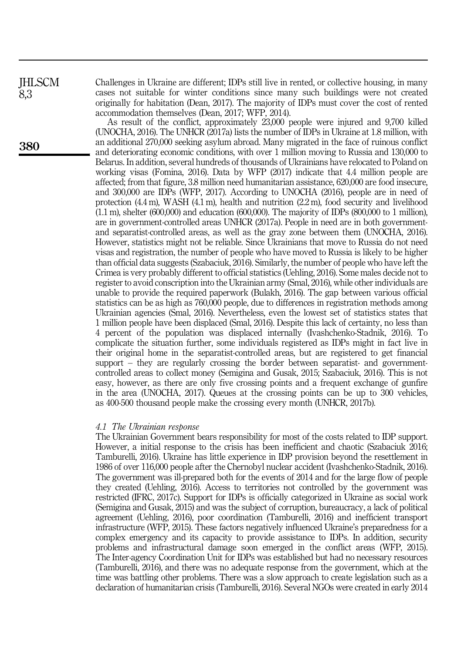Challenges in Ukraine are different; IDPs still live in rented, or collective housing, in many cases not suitable for winter conditions since many such buildings were not created originally for habitation (Dean, 2017). The majority of IDPs must cover the cost of rented accommodation themselves (Dean, 2017; WFP, 2014).

As result of the conflict, approximately 23,000 people were injured and 9,700 killed (UNOCHA, 2016). The UNHCR (2017a) lists the number of IDPs in Ukraine at 1.8 million, with an additional 270,000 seeking asylum abroad. Many migrated in the face of ruinous conflict and deteriorating economic conditions, with over 1 million moving to Russia and 130,000 to Belarus. In addition, several hundreds of thousands of Ukrainians have relocated to Poland on working visas (Fomina, 2016). Data by WFP (2017) indicate that 4.4 million people are affected; from that figure, 3.8 million need humanitarian assistance, 620,000 are food insecure, and 300,000 are IDPs (WFP, 2017). According to UNOCHA (2016), people are in need of protection (4.4 m), WASH (4.1 m), health and nutrition (2.2 m), food security and livelihood  $(1.1 \text{ m})$ , shelter (600,000) and education (600,000). The majority of IDPs (800,000 to 1 million), are in government-controlled areas UNHCR (2017a). People in need are in both governmentand separatist-controlled areas, as well as the gray zone between them (UNOCHA, 2016). However, statistics might not be reliable. Since Ukrainians that move to Russia do not need visas and registration, the number of people who have moved to Russia is likely to be higher than official data suggests (Szabaciuk, 2016). Similarly, the number of people who have left the Crimea is very probably different to official statistics (Uehling, 2016). Some males decide not to register to avoid conscription into the Ukrainian army (Smal, 2016), while other individuals are unable to provide the required paperwork (Bulakh, 2016). The gap between various official statistics can be as high as 760,000 people, due to differences in registration methods among Ukrainian agencies (Smal, 2016). Nevertheless, even the lowest set of statistics states that 1 million people have been displaced (Smal, 2016). Despite this lack of certainty, no less than 4 percent of the population was displaced internally (Ivashchenko-Stadnik, 2016). To complicate the situation further, some individuals registered as IDPs might in fact live in their original home in the separatist-controlled areas, but are registered to get financial support – they are regularly crossing the border between separatist- and governmentcontrolled areas to collect money (Semigina and Gusak, 2015; Szabaciuk, 2016). This is not easy, however, as there are only five crossing points and a frequent exchange of gunfire in the area (UNOCHA, 2017). Queues at the crossing points can be up to 300 vehicles, as 400-500 thousand people make the crossing every month (UNHCR, 2017b).

#### 4.1 The Ukrainian response

The Ukrainian Government bears responsibility for most of the costs related to IDP support. However, a initial response to the crisis has been inefficient and chaotic (Szabaciuk 2016; Tamburelli, 2016). Ukraine has little experience in IDP provision beyond the resettlement in 1986 of over 116,000 people after the Chernobyl nuclear accident (Ivashchenko-Stadnik, 2016). The government was ill-prepared both for the events of 2014 and for the large flow of people they created (Uehling, 2016). Access to territories not controlled by the government was restricted (IFRC, 2017c). Support for IDPs is officially categorized in Ukraine as social work (Semigina and Gusak, 2015) and was the subject of corruption, bureaucracy, a lack of political agreement (Uehling, 2016), poor coordination (Tamburelli, 2016) and inefficient transport infrastructure (WFP, 2015). These factors negatively influenced Ukraine's preparedness for a complex emergency and its capacity to provide assistance to IDPs. In addition, security problems and infrastructural damage soon emerged in the conflict areas (WFP, 2015). The Inter-agency Coordination Unit for IDPs was established but had no necessary resources (Tamburelli, 2016), and there was no adequate response from the government, which at the time was battling other problems. There was a slow approach to create legislation such as a declaration of humanitarian crisis (Tamburelli, 2016). Several NGOs were created in early 2014

380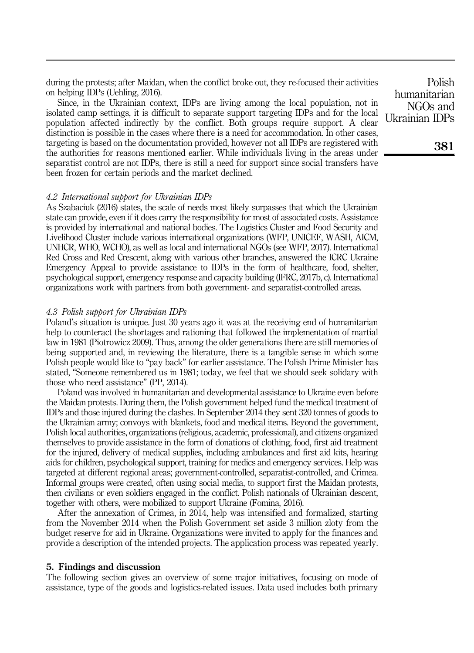during the protests; after Maidan, when the conflict broke out, they re-focused their activities on helping IDPs (Uehling, 2016).

Since, in the Ukrainian context, IDPs are living among the local population, not in isolated camp settings, it is difficult to separate support targeting IDPs and for the local population affected indirectly by the conflict. Both groups require support. A clear distinction is possible in the cases where there is a need for accommodation. In other cases, targeting is based on the documentation provided, however not all IDPs are registered with the authorities for reasons mentioned earlier. While individuals living in the areas under separatist control are not IDPs, there is still a need for support since social transfers have been frozen for certain periods and the market declined.

# 4.2 International support for Ukrainian IDPs

As Szabaciuk (2016) states, the scale of needs most likely surpasses that which the Ukrainian state can provide, even if it does carry the responsibility for most of associated costs. Assistance is provided by international and national bodies. The Logistics Cluster and Food Security and Livelihood Cluster include various international organizations (WFP, UNICEF, WASH, AICM, UNHCR, WHO, WCHO), as well as local and international NGOs (see WFP, 2017). International Red Cross and Red Crescent, along with various other branches, answered the ICRC Ukraine Emergency Appeal to provide assistance to IDPs in the form of healthcare, food, shelter, psychological support, emergency response and capacity building (IFRC, 2017b, c). International organizations work with partners from both government- and separatist-controlled areas.

#### 4.3 Polish support for Ukrainian IDPs

Poland's situation is unique. Just 30 years ago it was at the receiving end of humanitarian help to counteract the shortages and rationing that followed the implementation of martial law in 1981 (Piotrowicz 2009). Thus, among the older generations there are still memories of being supported and, in reviewing the literature, there is a tangible sense in which some Polish people would like to "pay back" for earlier assistance. The Polish Prime Minister has stated, "Someone remembered us in 1981; today, we feel that we should seek solidary with those who need assistance" (PP, 2014).

Poland was involved in humanitarian and developmental assistance to Ukraine even before the Maidan protests. During them, the Polish government helped fund the medical treatment of IDPs and those injured during the clashes. In September 2014 they sent 320 tonnes of goods to the Ukrainian army; convoys with blankets, food and medical items. Beyond the government, Polish local authorities, organizations (religious, academic, professional), and citizens organized themselves to provide assistance in the form of donations of clothing, food, first aid treatment for the injured, delivery of medical supplies, including ambulances and first aid kits, hearing aids for children, psychological support, training for medics and emergency services. Help was targeted at different regional areas; government-controlled, separatist-controlled, and Crimea. Informal groups were created, often using social media, to support first the Maidan protests, then civilians or even soldiers engaged in the conflict. Polish nationals of Ukrainian descent, together with others, were mobilized to support Ukraine (Fomina, 2016).

After the annexation of Crimea, in 2014, help was intensified and formalized, starting from the November 2014 when the Polish Government set aside 3 million zloty from the budget reserve for aid in Ukraine. Organizations were invited to apply for the finances and provide a description of the intended projects. The application process was repeated yearly.

#### 5. Findings and discussion

The following section gives an overview of some major initiatives, focusing on mode of assistance, type of the goods and logistics-related issues. Data used includes both primary

Polish humanitarian NGOs and Ukrainian IDPs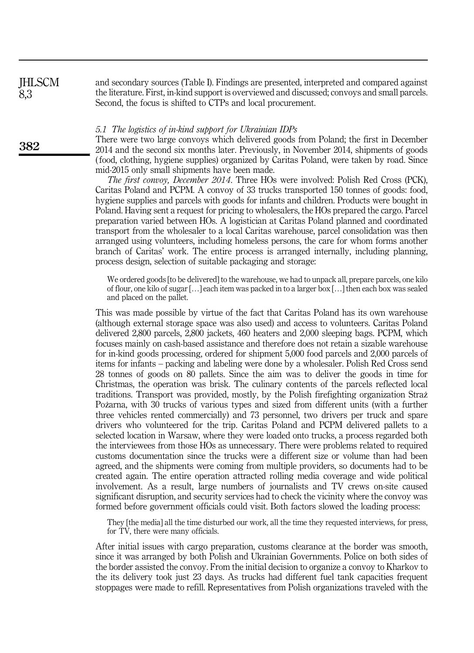and secondary sources (Table I). Findings are presented, interpreted and compared against the literature. First, in-kind support is overviewed and discussed; convoys and small parcels. Second, the focus is shifted to CTPs and local procurement. **IHLSCM** 8,3

#### 5.1 The logistics of in-kind support for Ukrainian IDPs

There were two large convoys which delivered goods from Poland; the first in December 2014 and the second six months later. Previously, in November 2014, shipments of goods ( food, clothing, hygiene supplies) organized by Caritas Poland, were taken by road. Since mid-2015 only small shipments have been made.

The first convoy, December 2014. Three HOs were involved: Polish Red Cross (PCK), Caritas Poland and PCPM. A convoy of 33 trucks transported 150 tonnes of goods: food, hygiene supplies and parcels with goods for infants and children. Products were bought in Poland. Having sent a request for pricing to wholesalers, the HOs prepared the cargo. Parcel preparation varied between HOs. A logistician at Caritas Poland planned and coordinated transport from the wholesaler to a local Caritas warehouse, parcel consolidation was then arranged using volunteers, including homeless persons, the care for whom forms another branch of Caritas' work. The entire process is arranged internally, including planning, process design, selection of suitable packaging and storage:

We ordered goods [to be delivered] to the warehouse, we had to unpack all, prepare parcels, one kilo of flour, one kilo of sugar […] each item was packed in to a larger box […] then each box was sealed and placed on the pallet.

This was made possible by virtue of the fact that Caritas Poland has its own warehouse (although external storage space was also used) and access to volunteers. Caritas Poland delivered 2,800 parcels, 2,800 jackets, 460 heaters and 2,000 sleeping bags. PCPM, which focuses mainly on cash-based assistance and therefore does not retain a sizable warehouse for in-kind goods processing, ordered for shipment 5,000 food parcels and 2,000 parcels of items for infants – packing and labeling were done by a wholesaler. Polish Red Cross send 28 tonnes of goods on 80 pallets. Since the aim was to deliver the goods in time for Christmas, the operation was brisk. The culinary contents of the parcels reflected local traditions. Transport was provided, mostly, by the Polish firefighting organization Straż Pożarna, with 30 trucks of various types and sized from different units (with a further three vehicles rented commercially) and 73 personnel, two drivers per truck and spare drivers who volunteered for the trip. Caritas Poland and PCPM delivered pallets to a selected location in Warsaw, where they were loaded onto trucks, a process regarded both the interviewees from those HOs as unnecessary. There were problems related to required customs documentation since the trucks were a different size or volume than had been agreed, and the shipments were coming from multiple providers, so documents had to be created again. The entire operation attracted rolling media coverage and wide political involvement. As a result, large numbers of journalists and TV crews on-site caused significant disruption, and security services had to check the vicinity where the convoy was formed before government officials could visit. Both factors slowed the loading process:

They [the media] all the time disturbed our work, all the time they requested interviews, for press, for TV, there were many officials.

After initial issues with cargo preparation, customs clearance at the border was smooth, since it was arranged by both Polish and Ukrainian Governments. Police on both sides of the border assisted the convoy. From the initial decision to organize a convoy to Kharkov to the its delivery took just 23 days. As trucks had different fuel tank capacities frequent stoppages were made to refill. Representatives from Polish organizations traveled with the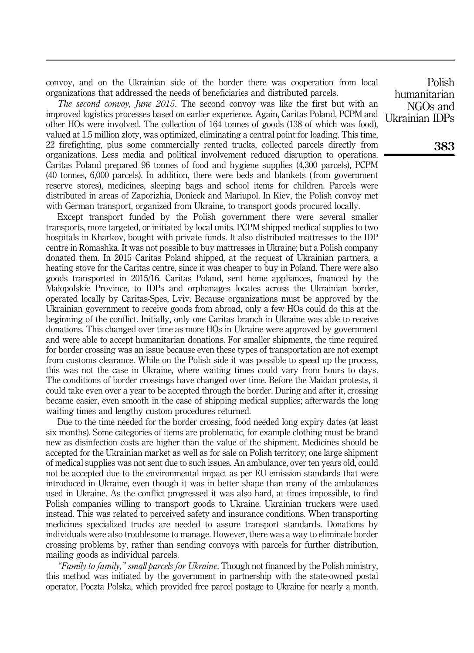convoy, and on the Ukrainian side of the border there was cooperation from local organizations that addressed the needs of beneficiaries and distributed parcels.

The second convoy, June 2015. The second convoy was like the first but with an improved logistics processes based on earlier experience. Again, Caritas Poland, PCPM and other HOs were involved. The collection of 164 tonnes of goods (138 of which was food), valued at 1.5 million zloty, was optimized, eliminating a central point for loading. This time, 22 firefighting, plus some commercially rented trucks, collected parcels directly from organizations. Less media and political involvement reduced disruption to operations. Caritas Poland prepared 96 tonnes of food and hygiene supplies (4,300 parcels), PCPM (40 tonnes, 6,000 parcels). In addition, there were beds and blankets ( from government reserve stores), medicines, sleeping bags and school items for children. Parcels were distributed in areas of Zaporizhia, Donieck and Mariupol. In Kiev, the Polish convoy met with German transport, organized from Ukraine, to transport goods procured locally.

Except transport funded by the Polish government there were several smaller transports, more targeted, or initiated by local units. PCPM shipped medical supplies to two hospitals in Kharkov, bought with private funds. It also distributed mattresses to the IDP centre in Romashka. It was not possible to buy mattresses in Ukraine; but a Polish company donated them. In 2015 Caritas Poland shipped, at the request of Ukrainian partners, a heating stove for the Caritas centre, since it was cheaper to buy in Poland. There were also goods transported in 2015/16. Caritas Poland, sent home appliances, financed by the Małopolskie Province, to IDPs and orphanages locates across the Ukrainian border, operated locally by Caritas-Spes, Lviv. Because organizations must be approved by the Ukrainian government to receive goods from abroad, only a few HOs could do this at the beginning of the conflict. Initially, only one Caritas branch in Ukraine was able to receive donations. This changed over time as more HOs in Ukraine were approved by government and were able to accept humanitarian donations. For smaller shipments, the time required for border crossing was an issue because even these types of transportation are not exempt from customs clearance. While on the Polish side it was possible to speed up the process, this was not the case in Ukraine, where waiting times could vary from hours to days. The conditions of border crossings have changed over time. Before the Maidan protests, it could take even over a year to be accepted through the border. During and after it, crossing became easier, even smooth in the case of shipping medical supplies; afterwards the long waiting times and lengthy custom procedures returned.

Due to the time needed for the border crossing, food needed long expiry dates (at least six months). Some categories of items are problematic, for example clothing must be brand new as disinfection costs are higher than the value of the shipment. Medicines should be accepted for the Ukrainian market as well as for sale on Polish territory; one large shipment of medical supplies was not sent due to such issues. An ambulance, over ten years old, could not be accepted due to the environmental impact as per EU emission standards that were introduced in Ukraine, even though it was in better shape than many of the ambulances used in Ukraine. As the conflict progressed it was also hard, at times impossible, to find Polish companies willing to transport goods to Ukraine. Ukrainian truckers were used instead. This was related to perceived safety and insurance conditions. When transporting medicines specialized trucks are needed to assure transport standards. Donations by individuals were also troublesome to manage. However, there was a way to eliminate border crossing problems by, rather than sending convoys with parcels for further distribution, mailing goods as individual parcels.

"Family to family," small parcels for Ukraine. Though not financed by the Polish ministry, this method was initiated by the government in partnership with the state-owned postal operator, Poczta Polska, which provided free parcel postage to Ukraine for nearly a month.

Polish humanitarian NGOs and Ukrainian IDPs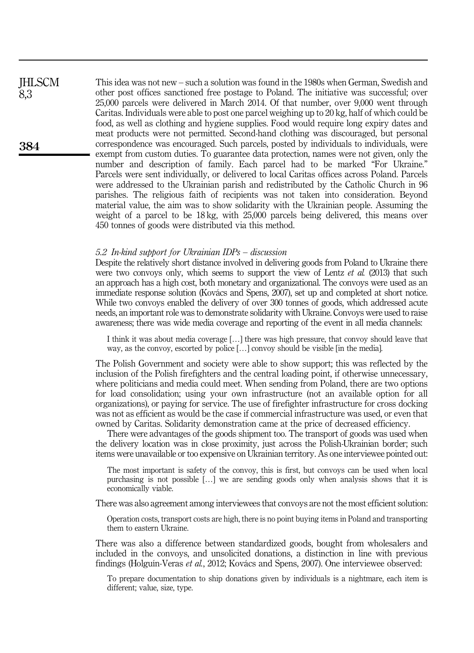This idea was not new – such a solution was found in the 1980s when German, Swedish and other post offices sanctioned free postage to Poland. The initiative was successful; over 25,000 parcels were delivered in March 2014. Of that number, over 9,000 went through Caritas. Individuals were able to post one parcel weighing up to 20 kg, half of which could be food, as well as clothing and hygiene supplies. Food would require long expiry dates and meat products were not permitted. Second-hand clothing was discouraged, but personal correspondence was encouraged. Such parcels, posted by individuals to individuals, were exempt from custom duties. To guarantee data protection, names were not given, only the number and description of family. Each parcel had to be marked "For Ukraine." Parcels were sent individually, or delivered to local Caritas offices across Poland. Parcels were addressed to the Ukrainian parish and redistributed by the Catholic Church in 96 parishes. The religious faith of recipients was not taken into consideration. Beyond material value, the aim was to show solidarity with the Ukrainian people. Assuming the weight of a parcel to be 18 kg, with 25,000 parcels being delivered, this means over 450 tonnes of goods were distributed via this method.

#### 5.2 In-kind support for Ukrainian IDPs – discussion

Despite the relatively short distance involved in delivering goods from Poland to Ukraine there were two convoys only, which seems to support the view of Lentz et al. (2013) that such an approach has a high cost, both monetary and organizational. The convoys were used as an immediate response solution (Kovács and Spens, 2007), set up and completed at short notice. While two convoys enabled the delivery of over 300 tonnes of goods, which addressed acute needs, an important role was to demonstrate solidarity with Ukraine. Convoys were used to raise awareness; there was wide media coverage and reporting of the event in all media channels:

I think it was about media coverage […] there was high pressure, that convoy should leave that way, as the convoy, escorted by police […] convoy should be visible [in the media].

The Polish Government and society were able to show support; this was reflected by the inclusion of the Polish firefighters and the central loading point, if otherwise unnecessary, where politicians and media could meet. When sending from Poland, there are two options for load consolidation; using your own infrastructure (not an available option for all organizations), or paying for service. The use of firefighter infrastructure for cross docking was not as efficient as would be the case if commercial infrastructure was used, or even that owned by Caritas. Solidarity demonstration came at the price of decreased efficiency.

There were advantages of the goods shipment too. The transport of goods was used when the delivery location was in close proximity, just across the Polish-Ukrainian border; such items were unavailable or too expensive on Ukrainian territory. As one interviewee pointed out:

The most important is safety of the convoy, this is first, but convoys can be used when local purchasing is not possible […] we are sending goods only when analysis shows that it is economically viable.

There was also agreement among interviewees that convoys are not the most efficient solution:

Operation costs, transport costs are high, there is no point buying items in Poland and transporting them to eastern Ukraine.

There was also a difference between standardized goods, bought from wholesalers and included in the convoys, and unsolicited donations, a distinction in line with previous findings (Holguín-Veras et al., 2012; Kovács and Spens, 2007). One interviewee observed:

To prepare documentation to ship donations given by individuals is a nightmare, each item is different; value, size, type.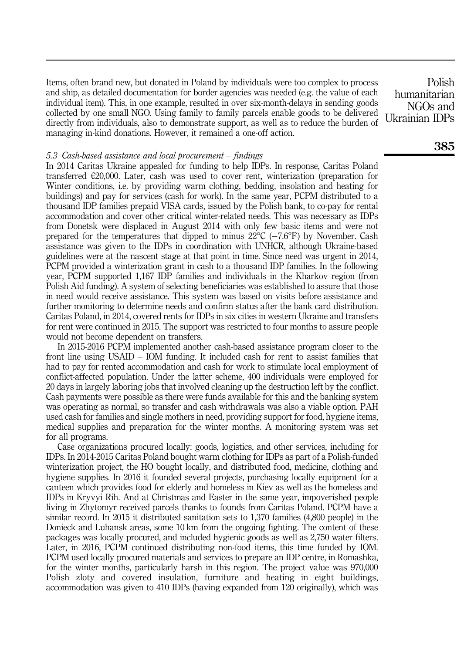Items, often brand new, but donated in Poland by individuals were too complex to process and ship, as detailed documentation for border agencies was needed (e.g. the value of each individual item). This, in one example, resulted in over six-month-delays in sending goods collected by one small NGO. Using family to family parcels enable goods to be delivered directly from individuals, also to demonstrate support, as well as to reduce the burden of managing in-kind donations. However, it remained a one-off action.

5.3 Cash-based assistance and local procurement – findings

In 2014 Caritas Ukraine appealed for funding to help IDPs. In response, Caritas Poland transferred €20,000. Later, cash was used to cover rent, winterization (preparation for Winter conditions, i.e. by providing warm clothing, bedding, insolation and heating for buildings) and pay for services (cash for work). In the same year, PCPM distributed to a thousand IDP families prepaid VISA cards, issued by the Polish bank, to co-pay for rental accommodation and cover other critical winter-related needs. This was necessary as IDPs from Donetsk were displaced in August 2014 with only few basic items and were not prepared for the temperatures that dipped to minus 22°C (−7.6°F) by November. Cash assistance was given to the IDPs in coordination with UNHCR, although Ukraine-based guidelines were at the nascent stage at that point in time. Since need was urgent in 2014, PCPM provided a winterization grant in cash to a thousand IDP families. In the following year, PCPM supported 1,167 IDP families and individuals in the Kharkov region (from Polish Aid funding). A system of selecting beneficiaries was established to assure that those in need would receive assistance. This system was based on visits before assistance and further monitoring to determine needs and confirm status after the bank card distribution. Caritas Poland, in 2014, covered rents for IDPs in six cities in western Ukraine and transfers for rent were continued in 2015. The support was restricted to four months to assure people would not become dependent on transfers.

In 2015-2016 PCPM implemented another cash-based assistance program closer to the front line using USAID – IOM funding. It included cash for rent to assist families that had to pay for rented accommodation and cash for work to stimulate local employment of conflict-affected population. Under the latter scheme, 400 individuals were employed for 20 days in largely laboring jobs that involved cleaning up the destruction left by the conflict. Cash payments were possible as there were funds available for this and the banking system was operating as normal, so transfer and cash withdrawals was also a viable option. PAH used cash for families and single mothers in need, providing support for food, hygiene items, medical supplies and preparation for the winter months. A monitoring system was set for all programs.

Case organizations procured locally: goods, logistics, and other services, including for IDPs. In 2014-2015 Caritas Poland bought warm clothing for IDPs as part of a Polish-funded winterization project, the HO bought locally, and distributed food, medicine, clothing and hygiene supplies. In 2016 it founded several projects, purchasing locally equipment for a canteen which provides food for elderly and homeless in Kiev as well as the homeless and IDPs in Kryvyi Rih. And at Christmas and Easter in the same year, impoverished people living in Zhytomyr received parcels thanks to founds from Caritas Poland. PCPM have a similar record. In 2015 it distributed sanitation sets to 1,370 families (4,800 people) in the Donieck and Luhansk areas, some 10 km from the ongoing fighting. The content of these packages was locally procured, and included hygienic goods as well as 2,750 water filters. Later, in 2016, PCPM continued distributing non-food items, this time funded by IOM. PCPM used locally procured materials and services to prepare an IDP centre, in Romashka, for the winter months, particularly harsh in this region. The project value was 970,000 Polish zloty and covered insulation, furniture and heating in eight buildings, accommodation was given to 410 IDPs (having expanded from 120 originally), which was

Polish humanitarian NGOs and Ukrainian IDPs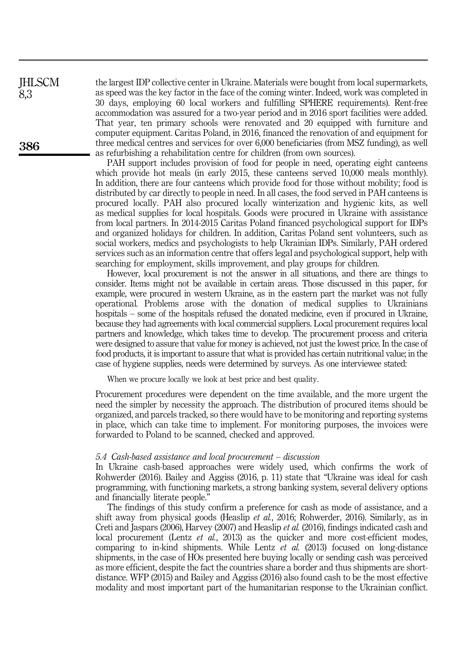the largest IDP collective center in Ukraine. Materials were bought from local supermarkets, as speed was the key factor in the face of the coming winter. Indeed, work was completed in 30 days, employing 60 local workers and fulfilling SPHERE requirements). Rent-free accommodation was assured for a two-year period and in 2016 sport facilities were added. That year, ten primary schools were renovated and 20 equipped with furniture and computer equipment. Caritas Poland, in 2016, financed the renovation of and equipment for three medical centres and services for over 6,000 beneficiaries (from MSZ funding), as well as refurbishing a rehabilitation centre for children (from own sources).

PAH support includes provision of food for people in need, operating eight canteens which provide hot meals (in early 2015, these canteens served 10,000 meals monthly). In addition, there are four canteens which provide food for those without mobility; food is distributed by car directly to people in need. In all cases, the food served in PAH canteens is procured locally. PAH also procured locally winterization and hygienic kits, as well as medical supplies for local hospitals. Goods were procured in Ukraine with assistance from local partners. In 2014-2015 Caritas Poland financed psychological support for IDPs and organized holidays for children. In addition, Caritas Poland sent volunteers, such as social workers, medics and psychologists to help Ukrainian IDPs. Similarly, PAH ordered services such as an information centre that offers legal and psychological support, help with searching for employment, skills improvement, and play groups for children.

However, local procurement is not the answer in all situations, and there are things to consider. Items might not be available in certain areas. Those discussed in this paper, for example, were procured in western Ukraine, as in the eastern part the market was not fully operational. Problems arose with the donation of medical supplies to Ukrainians hospitals – some of the hospitals refused the donated medicine, even if procured in Ukraine, because they had agreements with local commercial suppliers. Local procurement requires local partners and knowledge, which takes time to develop. The procurement process and criteria were designed to assure that value for money is achieved, not just the lowest price. In the case of food products, it is important to assure that what is provided has certain nutritional value; in the case of hygiene supplies, needs were determined by surveys. As one interviewee stated:

When we procure locally we look at best price and best quality.

Procurement procedures were dependent on the time available, and the more urgent the need the simpler by necessity the approach. The distribution of procured items should be organized, and parcels tracked, so there would have to be monitoring and reporting systems in place, which can take time to implement. For monitoring purposes, the invoices were forwarded to Poland to be scanned, checked and approved.

#### 5.4 Cash-based assistance and local procurement – discussion

In Ukraine cash-based approaches were widely used, which confirms the work of Rohwerder (2016). Bailey and Aggiss (2016, p. 11) state that "Ukraine was ideal for cash programming, with functioning markets, a strong banking system, several delivery options and financially literate people."

The findings of this study confirm a preference for cash as mode of assistance, and a shift away from physical goods (Heaslip *et al.*, 2016; Rohwerder, 2016). Similarly, as in Creti and Jaspars (2006), Harvey (2007) and Heaslip et al. (2016), findings indicated cash and local procurement (Lentz *et al.*, 2013) as the quicker and more cost-efficient modes, comparing to in-kind shipments. While Lentz et al. (2013) focused on long-distance shipments, in the case of HOs presented here buying locally or sending cash was perceived as more efficient, despite the fact the countries share a border and thus shipments are shortdistance. WFP (2015) and Bailey and Aggiss (2016) also found cash to be the most effective modality and most important part of the humanitarian response to the Ukrainian conflict.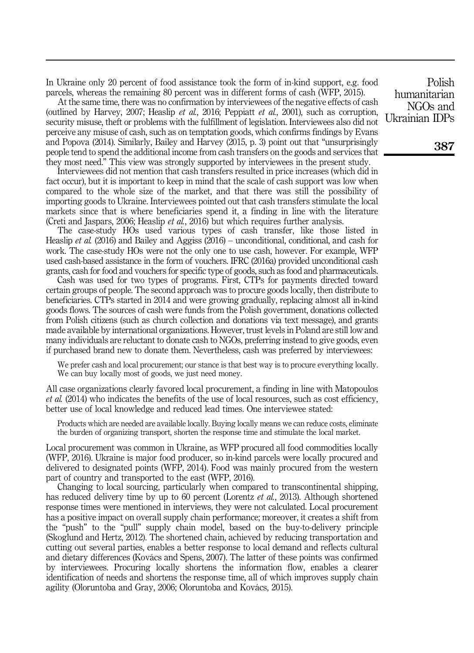In Ukraine only 20 percent of food assistance took the form of in-kind support, e.g. food parcels, whereas the remaining 80 percent was in different forms of cash (WFP, 2015).

At the same time, there was no confirmation by interviewees of the negative effects of cash (outlined by Harvey, 2007; Heaslip et al., 2016; Peppiatt et al., 2001), such as corruption, security misuse, theft or problems with the fulfillment of legislation. Interviewees also did not perceive any misuse of cash, such as on temptation goods, which confirms findings by Evans and Popova (2014). Similarly, Bailey and Harvey (2015, p. 3) point out that "unsurprisingly people tend to spend the additional income from cash transfers on the goods and services that they most need." This view was strongly supported by interviewees in the present study.

Interviewees did not mention that cash transfers resulted in price increases (which did in fact occur), but it is important to keep in mind that the scale of cash support was low when compared to the whole size of the market, and that there was still the possibility of importing goods to Ukraine. Interviewees pointed out that cash transfers stimulate the local markets since that is where beneficiaries spend it, a finding in line with the literature (Creti and Jaspars, 2006; Heaslip et al., 2016) but which requires further analysis.

The case-study HOs used various types of cash transfer, like those listed in Heaslip et al. (2016) and Bailey and Aggiss (2016) – unconditional, conditional, and cash for work. The case-study HOs were not the only one to use cash, however. For example, WFP used cash-based assistance in the form of vouchers. IFRC (2016a) provided unconditional cash grants, cash for food and vouchers for specific type of goods, such as food and pharmaceuticals.

Cash was used for two types of programs. First, CTPs for payments directed toward certain groups of people. The second approach was to procure goods locally, then distribute to beneficiaries. CTPs started in 2014 and were growing gradually, replacing almost all in-kind goods flows. The sources of cash were funds from the Polish government, donations collected from Polish citizens (such as church collection and donations via text message), and grants made available by international organizations. However, trust levels in Poland are still low and many individuals are reluctant to donate cash to NGOs, preferring instead to give goods, even if purchased brand new to donate them. Nevertheless, cash was preferred by interviewees:

We prefer cash and local procurement; our stance is that best way is to procure everything locally. We can buy locally most of goods, we just need money.

All case organizations clearly favored local procurement, a finding in line with Matopoulos et al. (2014) who indicates the benefits of the use of local resources, such as cost efficiency, better use of local knowledge and reduced lead times. One interviewee stated:

Products which are needed are available locally. Buying locally means we can reduce costs, eliminate the burden of organizing transport, shorten the response time and stimulate the local market.

Local procurement was common in Ukraine, as WFP procured all food commodities locally (WFP, 2016). Ukraine is major food producer, so in-kind parcels were locally procured and delivered to designated points (WFP, 2014). Food was mainly procured from the western part of country and transported to the east (WFP, 2016).

Changing to local sourcing, particularly when compared to transcontinental shipping, has reduced delivery time by up to 60 percent (Lorentz *et al.*, 2013). Although shortened response times were mentioned in interviews, they were not calculated. Local procurement has a positive impact on overall supply chain performance; moreover, it creates a shift from the "push" to the "pull" supply chain model, based on the buy-to-delivery principle (Skoglund and Hertz, 2012). The shortened chain, achieved by reducing transportation and cutting out several parties, enables a better response to local demand and reflects cultural and dietary differences (Kovács and Spens, 2007). The latter of these points was confirmed by interviewees. Procuring locally shortens the information flow, enables a clearer identification of needs and shortens the response time, all of which improves supply chain agility (Oloruntoba and Gray, 2006; Oloruntoba and Kovács, 2015).

Polish humanitarian NGOs and Ukrainian IDPs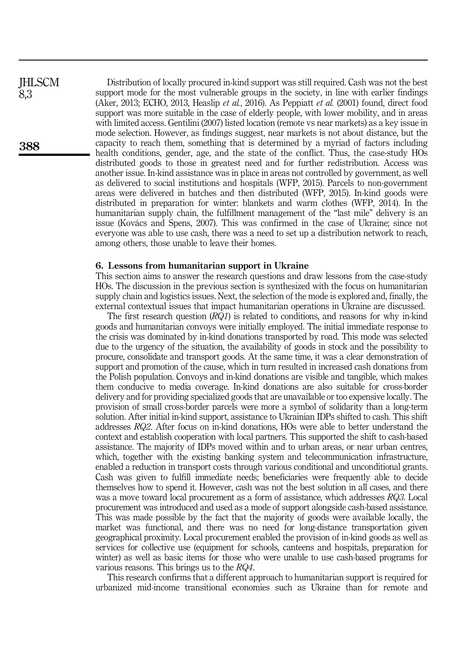Distribution of locally procured in-kind support was still required. Cash was not the best support mode for the most vulnerable groups in the society, in line with earlier findings (Aker, 2013; ECHO, 2013, Heaslip et al., 2016). As Peppiatt et al.  $(2001)$  found, direct food support was more suitable in the case of elderly people, with lower mobility, and in areas with limited access. Gentilini (2007) listed location (remote vs near markets) as a key issue in mode selection. However, as findings suggest, near markets is not about distance, but the capacity to reach them, something that is determined by a myriad of factors including health conditions, gender, age, and the state of the conflict. Thus, the case-study HOs distributed goods to those in greatest need and for further redistribution. Access was another issue. In-kind assistance was in place in areas not controlled by government, as well as delivered to social institutions and hospitals (WFP, 2015). Parcels to non-government areas were delivered in batches and then distributed (WFP, 2015). In-kind goods were distributed in preparation for winter: blankets and warm clothes (WFP, 2014). In the humanitarian supply chain, the fulfillment management of the "last mile" delivery is an issue (Kovács and Spens, 2007). This was confirmed in the case of Ukraine; since not everyone was able to use cash, there was a need to set up a distribution network to reach, among others, those unable to leave their homes.

#### 6. Lessons from humanitarian support in Ukraine

This section aims to answer the research questions and draw lessons from the case-study HOs. The discussion in the previous section is synthesized with the focus on humanitarian supply chain and logistics issues. Next, the selection of the mode is explored and, finally, the external contextual issues that impact humanitarian operations in Ukraine are discussed.

The first research question  $(RQI)$  is related to conditions, and reasons for why in-kind goods and humanitarian convoys were initially employed. The initial immediate response to the crisis was dominated by in-kind donations transported by road. This mode was selected due to the urgency of the situation, the availability of goods in stock and the possibility to procure, consolidate and transport goods. At the same time, it was a clear demonstration of support and promotion of the cause, which in turn resulted in increased cash donations from the Polish population. Convoys and in-kind donations are visible and tangible, which makes them conducive to media coverage. In-kind donations are also suitable for cross-border delivery and for providing specialized goods that are unavailable or too expensive locally. The provision of small cross-border parcels were more a symbol of solidarity than a long-term solution. After initial in-kind support, assistance to Ukrainian IDPs shifted to cash. This shift addresses RQ2. After focus on in-kind donations, HOs were able to better understand the context and establish cooperation with local partners. This supported the shift to cash-based assistance. The majority of IDPs moved within and to urban areas, or near urban centres, which, together with the existing banking system and telecommunication infrastructure, enabled a reduction in transport costs through various conditional and unconditional grants. Cash was given to fulfill immediate needs; beneficiaries were frequently able to decide themselves how to spend it. However, cash was not the best solution in all cases, and there was a move toward local procurement as a form of assistance, which addresses RQ3. Local procurement was introduced and used as a mode of support alongside cash-based assistance. This was made possible by the fact that the majority of goods were available locally, the market was functional, and there was no need for long-distance transportation given geographical proximity. Local procurement enabled the provision of in-kind goods as well as services for collective use (equipment for schools, canteens and hospitals, preparation for winter) as well as basic items for those who were unable to use cash-based programs for various reasons. This brings us to the RQ4.

This research confirms that a different approach to humanitarian support is required for urbanized mid-income transitional economies such as Ukraine than for remote and

388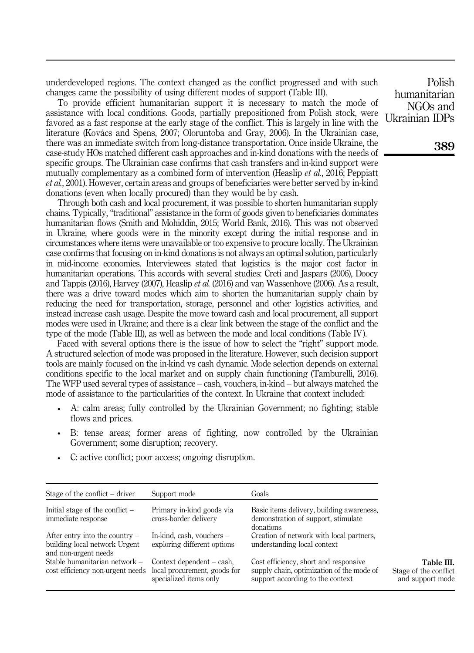underdeveloped regions. The context changed as the conflict progressed and with such changes came the possibility of using different modes of support (Table III).

To provide efficient humanitarian support it is necessary to match the mode of assistance with local conditions. Goods, partially prepositioned from Polish stock, were favored as a fast response at the early stage of the conflict. This is largely in line with the literature (Kovács and Spens, 2007; Oloruntoba and Gray, 2006). In the Ukrainian case, there was an immediate switch from long-distance transportation. Once inside Ukraine, the case-study HOs matched different cash approaches and in-kind donations with the needs of specific groups. The Ukrainian case confirms that cash transfers and in-kind support were mutually complementary as a combined form of intervention (Heaslip *et al.*, 2016; Peppiatt et al., 2001). However, certain areas and groups of beneficiaries were better served by in-kind donations (even when locally procured) than they would be by cash.

Through both cash and local procurement, it was possible to shorten humanitarian supply chains. Typically, "traditional" assistance in the form of goods given to beneficiaries dominates humanitarian flows (Smith and Mohiddin, 2015; World Bank, 2016). This was not observed in Ukraine, where goods were in the minority except during the initial response and in circumstances where items were unavailable or too expensive to procure locally. The Ukrainian case confirms that focusing on in-kind donations is not always an optimal solution, particularly in mid-income economies. Interviewees stated that logistics is the major cost factor in humanitarian operations. This accords with several studies: Creti and Jaspars (2006), Doocy and Tappis (2016), Harvey (2007), Heaslip et al. (2016) and van Wassenhove (2006). As a result, there was a drive toward modes which aim to shorten the humanitarian supply chain by reducing the need for transportation, storage, personnel and other logistics activities, and instead increase cash usage. Despite the move toward cash and local procurement, all support modes were used in Ukraine; and there is a clear link between the stage of the conflict and the type of the mode (Table III), as well as between the mode and local conditions (Table IV).

Faced with several options there is the issue of how to select the "right" support mode. A structured selection of mode was proposed in the literature. However, such decision support tools are mainly focused on the in-kind vs cash dynamic. Mode selection depends on external conditions specific to the local market and on supply chain functioning (Tamburelli, 2016). The WFP used several types of assistance – cash, vouchers, in-kind – but always matched the mode of assistance to the particularities of the context. In Ukraine that context included:

- A: calm areas; fully controlled by the Ukrainian Government; no fighting; stable flows and prices.
- B: tense areas; former areas of fighting, now controlled by the Ukrainian Government; some disruption; recovery.
- C: active conflict; poor access; ongoing disruption.

| Stage of the conflict $-$ driver                                                               | Support mode                                               | Goals                                                                                                                  |
|------------------------------------------------------------------------------------------------|------------------------------------------------------------|------------------------------------------------------------------------------------------------------------------------|
| Initial stage of the conflict $-$<br>immediate response                                        | Primary in-kind goods via<br>cross-border delivery         | Basic items delivery, building awareness,<br>demonstration of support, stimulate<br>donations                          |
| After entry into the country $-$<br>building local network Urgent<br>and non-urgent needs      | In-kind, cash, vouchers $-$<br>exploring different options | Creation of network with local partners,<br>understanding local context                                                |
| Stable humanitarian network -<br>cost efficiency non-urgent needs local procurement, goods for | Context dependent $-$ cash,<br>specialized items only      | Cost efficiency, short and responsive<br>supply chain, optimization of the mode of<br>support according to the context |

Polish humanitarian NGOs and Ukrainian IDPs

389

Table III. Stage of the conflict and support mode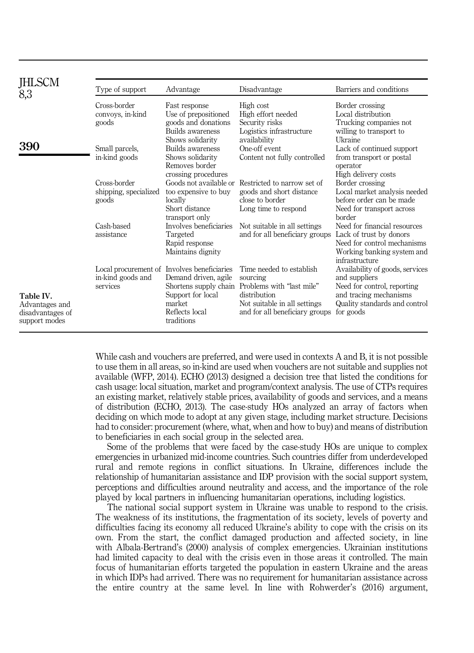| JHLSCM<br>8,3                                                    | Type of support                                | Advantage                                                                                                                          | Disadvantage                                                                                                                                                              | Barriers and conditions                                                                                                                                 |
|------------------------------------------------------------------|------------------------------------------------|------------------------------------------------------------------------------------------------------------------------------------|---------------------------------------------------------------------------------------------------------------------------------------------------------------------------|---------------------------------------------------------------------------------------------------------------------------------------------------------|
|                                                                  | Cross-border<br>convoys, in-kind<br>goods      | Fast response<br>Use of prepositioned<br>goods and donations<br>Builds awareness                                                   | High cost<br>High effort needed<br>Security risks<br>Logistics infrastructure                                                                                             | Border crossing<br>Local distribution<br>Trucking companies not<br>willing to transport to                                                              |
| 390                                                              | Small parcels,<br>in-kind goods                | Shows solidarity<br>Builds awareness<br>Shows solidarity<br>Removes border<br>crossing procedures                                  | availability<br>One-off event<br>Content not fully controlled                                                                                                             | Ukraine<br>Lack of continued support<br>from transport or postal<br>operator<br>High delivery costs                                                     |
|                                                                  | Cross-border<br>shipping, specialized<br>goods | Goods not available or<br>too expensive to buy<br>locally<br>Short distance                                                        | Restricted to narrow set of<br>goods and short distance<br>close to border<br>Long time to respond                                                                        | Border crossing<br>Local market analysis needed<br>before order can be made<br>Need for transport across                                                |
|                                                                  | Cash-based<br>assistance                       | transport only<br>Involves beneficiaries<br>Targeted<br>Rapid response<br>Maintains dignity                                        | Not suitable in all settings<br>and for all beneficiary groups                                                                                                            | border<br>Need for financial resources<br>Lack of trust by donors<br>Need for control mechanisms<br>Working banking system and<br>infrastructure        |
| Table IV.<br>Advantages and<br>disadvantages of<br>support modes | in-kind goods and<br>services                  | Local procurement of Involves beneficiaries<br>Demand driven, agile<br>Support for local<br>market<br>Reflects local<br>traditions | Time needed to establish<br>sourcing<br>Shortens supply chain Problems with "last mile"<br>distribution<br>Not suitable in all settings<br>and for all beneficiary groups | Availability of goods, services<br>and suppliers<br>Need for control, reporting<br>and tracing mechanisms<br>Quality standards and control<br>for goods |

While cash and vouchers are preferred, and were used in contexts A and B, it is not possible to use them in all areas, so in-kind are used when vouchers are not suitable and supplies not available (WFP, 2014). ECHO (2013) designed a decision tree that listed the conditions for cash usage: local situation, market and program/context analysis. The use of CTPs requires an existing market, relatively stable prices, availability of goods and services, and a means of distribution (ECHO, 2013). The case-study HOs analyzed an array of factors when deciding on which mode to adopt at any given stage, including market structure. Decisions had to consider: procurement (where, what, when and how to buy) and means of distribution to beneficiaries in each social group in the selected area.

Some of the problems that were faced by the case-study HOs are unique to complex emergencies in urbanized mid-income countries. Such countries differ from underdeveloped rural and remote regions in conflict situations. In Ukraine, differences include the relationship of humanitarian assistance and IDP provision with the social support system, perceptions and difficulties around neutrality and access, and the importance of the role played by local partners in influencing humanitarian operations, including logistics.

The national social support system in Ukraine was unable to respond to the crisis. The weakness of its institutions, the fragmentation of its society, levels of poverty and difficulties facing its economy all reduced Ukraine's ability to cope with the crisis on its own. From the start, the conflict damaged production and affected society, in line with Albala-Bertrand's (2000) analysis of complex emergencies. Ukrainian institutions had limited capacity to deal with the crisis even in those areas it controlled. The main focus of humanitarian efforts targeted the population in eastern Ukraine and the areas in which IDPs had arrived. There was no requirement for humanitarian assistance across the entire country at the same level. In line with Rohwerder's (2016) argument,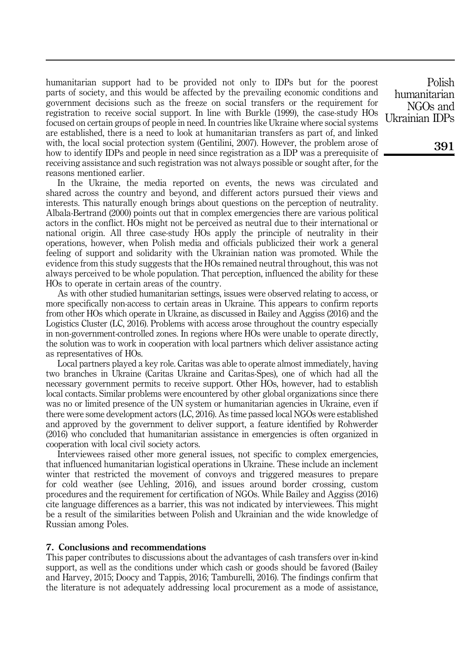humanitarian support had to be provided not only to IDPs but for the poorest parts of society, and this would be affected by the prevailing economic conditions and government decisions such as the freeze on social transfers or the requirement for registration to receive social support. In line with Burkle (1999), the case-study HOs focused on certain groups of people in need. In countries like Ukraine where social systems are established, there is a need to look at humanitarian transfers as part of, and linked with, the local social protection system (Gentilini, 2007). However, the problem arose of how to identify IDPs and people in need since registration as a IDP was a prerequisite of receiving assistance and such registration was not always possible or sought after, for the reasons mentioned earlier.

In the Ukraine, the media reported on events, the news was circulated and shared across the country and beyond, and different actors pursued their views and interests. This naturally enough brings about questions on the perception of neutrality. Albala-Bertrand (2000) points out that in complex emergencies there are various political actors in the conflict. HOs might not be perceived as neutral due to their international or national origin. All three case-study HOs apply the principle of neutrality in their operations, however, when Polish media and officials publicized their work a general feeling of support and solidarity with the Ukrainian nation was promoted. While the evidence from this study suggests that the HOs remained neutral throughout, this was not always perceived to be whole population. That perception, influenced the ability for these HOs to operate in certain areas of the country.

As with other studied humanitarian settings, issues were observed relating to access, or more specifically non-access to certain areas in Ukraine. This appears to confirm reports from other HOs which operate in Ukraine, as discussed in Bailey and Aggiss (2016) and the Logistics Cluster (LC, 2016). Problems with access arose throughout the country especially in non-government-controlled zones. In regions where HOs were unable to operate directly, the solution was to work in cooperation with local partners which deliver assistance acting as representatives of HOs.

Local partners played a key role. Caritas was able to operate almost immediately, having two branches in Ukraine (Caritas Ukraine and Caritas-Spes), one of which had all the necessary government permits to receive support. Other HOs, however, had to establish local contacts. Similar problems were encountered by other global organizations since there was no or limited presence of the UN system or humanitarian agencies in Ukraine, even if there were some development actors (LC, 2016). As time passed local NGOs were established and approved by the government to deliver support, a feature identified by Rohwerder (2016) who concluded that humanitarian assistance in emergencies is often organized in cooperation with local civil society actors.

Interviewees raised other more general issues, not specific to complex emergencies, that influenced humanitarian logistical operations in Ukraine. These include an inclement winter that restricted the movement of convoys and triggered measures to prepare for cold weather (see Uehling, 2016), and issues around border crossing, custom procedures and the requirement for certification of NGOs. While Bailey and Aggiss (2016) cite language differences as a barrier, this was not indicated by interviewees. This might be a result of the similarities between Polish and Ukrainian and the wide knowledge of Russian among Poles.

#### 7. Conclusions and recommendations

This paper contributes to discussions about the advantages of cash transfers over in-kind support, as well as the conditions under which cash or goods should be favored (Bailey and Harvey, 2015; Doocy and Tappis, 2016; Tamburelli, 2016). The findings confirm that the literature is not adequately addressing local procurement as a mode of assistance,

Polish humanitarian NGOs and Ukrainian IDPs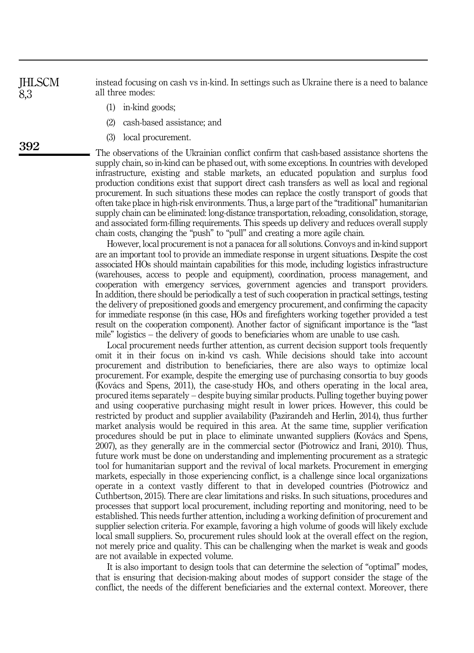instead focusing on cash vs in-kind. In settings such as Ukraine there is a need to balance all three modes: **IHLSCM** 8,3

- (1) in-kind goods;
- (2) cash-based assistance; and
- (3) local procurement.

The observations of the Ukrainian conflict confirm that cash-based assistance shortens the supply chain, so in-kind can be phased out, with some exceptions. In countries with developed infrastructure, existing and stable markets, an educated population and surplus food production conditions exist that support direct cash transfers as well as local and regional procurement. In such situations these modes can replace the costly transport of goods that often take place in high-risk environments. Thus, a large part of the "traditional" humanitarian supply chain can be eliminated: long-distance transportation, reloading, consolidation, storage, and associated form-filling requirements. This speeds up delivery and reduces overall supply chain costs, changing the "push" to "pull" and creating a more agile chain.

However, local procurement is not a panacea for all solutions. Convoys and in-kind support are an important tool to provide an immediate response in urgent situations. Despite the cost associated HOs should maintain capabilities for this mode, including logistics infrastructure (warehouses, access to people and equipment), coordination, process management, and cooperation with emergency services, government agencies and transport providers. In addition, there should be periodically a test of such cooperation in practical settings, testing the delivery of prepositioned goods and emergency procurement, and confirming the capacity for immediate response (in this case, HOs and firefighters working together provided a test result on the cooperation component). Another factor of significant importance is the "last mile" logistics – the delivery of goods to beneficiaries whom are unable to use cash.

Local procurement needs further attention, as current decision support tools frequently omit it in their focus on in-kind vs cash. While decisions should take into account procurement and distribution to beneficiaries, there are also ways to optimize local procurement. For example, despite the emerging use of purchasing consortia to buy goods (Kovács and Spens, 2011), the case-study HOs, and others operating in the local area, procured items separately – despite buying similar products. Pulling together buying power and using cooperative purchasing might result in lower prices. However, this could be restricted by product and supplier availability (Pazirandeh and Herlin, 2014), thus further market analysis would be required in this area. At the same time, supplier verification procedures should be put in place to eliminate unwanted suppliers (Kovács and Spens, 2007), as they generally are in the commercial sector (Piotrowicz and Irani, 2010). Thus, future work must be done on understanding and implementing procurement as a strategic tool for humanitarian support and the revival of local markets. Procurement in emerging markets, especially in those experiencing conflict, is a challenge since local organizations operate in a context vastly different to that in developed countries (Piotrowicz and Cuthbertson, 2015). There are clear limitations and risks. In such situations, procedures and processes that support local procurement, including reporting and monitoring, need to be established. This needs further attention, including a working definition of procurement and supplier selection criteria. For example, favoring a high volume of goods will likely exclude local small suppliers. So, procurement rules should look at the overall effect on the region, not merely price and quality. This can be challenging when the market is weak and goods are not available in expected volume.

It is also important to design tools that can determine the selection of "optimal" modes, that is ensuring that decision-making about modes of support consider the stage of the conflict, the needs of the different beneficiaries and the external context. Moreover, there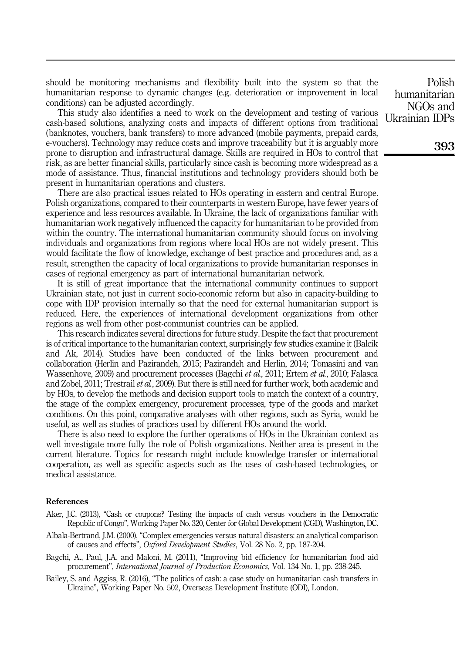should be monitoring mechanisms and flexibility built into the system so that the humanitarian response to dynamic changes (e.g. deterioration or improvement in local conditions) can be adjusted accordingly.

This study also identifies a need to work on the development and testing of various cash-based solutions, analyzing costs and impacts of different options from traditional (banknotes, vouchers, bank transfers) to more advanced (mobile payments, prepaid cards, e-vouchers). Technology may reduce costs and improve traceability but it is arguably more prone to disruption and infrastructural damage. Skills are required in HOs to control that risk, as are better financial skills, particularly since cash is becoming more widespread as a mode of assistance. Thus, financial institutions and technology providers should both be present in humanitarian operations and clusters.

There are also practical issues related to HOs operating in eastern and central Europe. Polish organizations, compared to their counterparts in western Europe, have fewer years of experience and less resources available. In Ukraine, the lack of organizations familiar with humanitarian work negatively influenced the capacity for humanitarian to be provided from within the country. The international humanitarian community should focus on involving individuals and organizations from regions where local HOs are not widely present. This would facilitate the flow of knowledge, exchange of best practice and procedures and, as a result, strengthen the capacity of local organizations to provide humanitarian responses in cases of regional emergency as part of international humanitarian network.

It is still of great importance that the international community continues to support Ukrainian state, not just in current socio-economic reform but also in capacity-building to cope with IDP provision internally so that the need for external humanitarian support is reduced. Here, the experiences of international development organizations from other regions as well from other post-communist countries can be applied.

This research indicates several directions for future study. Despite the fact that procurement is of critical importance to the humanitarian context, surprisingly few studies examine it (Balcik and Ak, 2014). Studies have been conducted of the links between procurement and collaboration (Herlin and Pazirandeh, 2015; Pazirandeh and Herlin, 2014; Tomasini and van Wassenhove, 2009) and procurement processes (Bagchi et al., 2011; Ertem et al., 2010; Falasca and Zobel, 2011; Trestrail et al., 2009). But there is still need for further work, both academic and by HOs, to develop the methods and decision support tools to match the context of a country, the stage of the complex emergency, procurement processes, type of the goods and market conditions. On this point, comparative analyses with other regions, such as Syria, would be useful, as well as studies of practices used by different HOs around the world.

There is also need to explore the further operations of HOs in the Ukrainian context as well investigate more fully the role of Polish organizations. Neither area is present in the current literature. Topics for research might include knowledge transfer or international cooperation, as well as specific aspects such as the uses of cash-based technologies, or medical assistance.

#### References

- Aker, J.C. (2013), "Cash or coupons? Testing the impacts of cash versus vouchers in the Democratic Republic of Congo", Working Paper No. 320, Center for Global Development (CGD), Washington, DC.
- Albala-Bertrand, J.M. (2000), "Complex emergencies versus natural disasters: an analytical comparison of causes and effects", Oxford Development Studies, Vol. 28 No. 2, pp. 187-204.
- Bagchi, A., Paul, J.A. and Maloni, M. (2011), "Improving bid efficiency for humanitarian food aid procurement", International Journal of Production Economics, Vol. 134 No. 1, pp. 238-245.
- Bailey, S. and Aggiss, R. (2016), "The politics of cash: a case study on humanitarian cash transfers in Ukraine", Working Paper No. 502, Overseas Development Institute (ODI), London.

Polish humanitarian NGOs and Ukrainian IDPs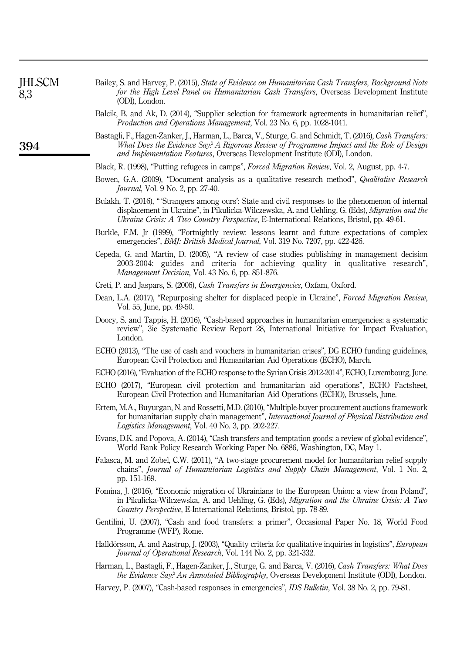| <b>JHLSCM</b><br>8,3 | Bailey, S. and Harvey, P. (2015), State of Evidence on Humanitarian Cash Transfers, Background Note<br>for the High Level Panel on Humanitarian Cash Transfers, Overseas Development Institute<br>(ODI), London.                                                                                         |
|----------------------|----------------------------------------------------------------------------------------------------------------------------------------------------------------------------------------------------------------------------------------------------------------------------------------------------------|
|                      | Balcik, B. and Ak, D. (2014), "Supplier selection for framework agreements in humanitarian relief",<br>Production and Operations Management, Vol. 23 No. 6, pp. 1028-1041.                                                                                                                               |
| 394                  | Bastagli, F., Hagen-Zanker, J., Harman, L., Barca, V., Sturge, G. and Schmidt, T. (2016), Cash Transfers:<br>What Does the Evidence Say? A Rigorous Review of Programme Impact and the Role of Design<br>and Implementation Features, Overseas Development Institute (ODI), London.                      |
|                      | Black, R. (1998), "Putting refugees in camps", Forced Migration Review, Vol. 2, August, pp. 4-7.                                                                                                                                                                                                         |
|                      | Bowen, G.A. (2009), "Document analysis as a qualitative research method", <i>Qualitative Research</i><br>Journal, Vol. 9 No. 2, pp. 27-40.                                                                                                                                                               |
|                      | Bulakh, T. (2016), "Strangers among ours': State and civil responses to the phenomenon of internal<br>displacement in Ukraine", in Pikulicka-Wilczewska, A. and Uehling, G. (Eds), <i>Migration and the</i><br>Ukraine Crisis: A Two Country Perspective, E-International Relations, Bristol, pp. 49-61. |
|                      | Burkle, F.M. Jr (1999), "Fortnightly review: lessons learnt and future expectations of complex<br>emergencies", BMJ: British Medical Journal, Vol. 319 No. 7207, pp. 422-426.                                                                                                                            |
|                      | Cepeda, G. and Martin, D. (2005), "A review of case studies publishing in management decision<br>2003-2004: guides and criteria for achieving quality in qualitative research",<br><i>Management Decision, Vol. 43 No. 6, pp. 851-876.</i>                                                               |
|                      | Creti, P. and Jaspars, S. (2006), Cash Transfers in Emergencies, Oxfam, Oxford.                                                                                                                                                                                                                          |
|                      | Dean, L.A. (2017), "Repurposing shelter for displaced people in Ukraine", Forced Migration Review,<br>Vol. 55, June, pp. 49-50.                                                                                                                                                                          |
|                      | Doocy, S. and Tappis, H. (2016), "Cash-based approaches in humanitarian emergencies: a systematic<br>review", 3ie Systematic Review Report 28, International Initiative for Impact Evaluation,<br>London.                                                                                                |
|                      | ECHO (2013), "The use of cash and vouchers in humanitarian crises", DG ECHO funding guidelines,<br>European Civil Protection and Humanitarian Aid Operations (ECHO), March.                                                                                                                              |
|                      | ECHO (2016), "Evaluation of the ECHO response to the Syrian Crisis 2012-2014", ECHO, Luxembourg, June.                                                                                                                                                                                                   |
|                      | ECHO (2017), "European civil protection and humanitarian aid operations", ECHO Factsheet,<br>European Civil Protection and Humanitarian Aid Operations (ECHO), Brussels, June.                                                                                                                           |
|                      | Ertem, M.A., Buyurgan, N. and Rossetti, M.D. (2010), "Multiple-buyer procurement auctions framework<br>for humanitarian supply chain management", International Journal of Physical Distribution and<br>Logistics Management, Vol. 40 No. 3, pp. 202-227.                                                |
|                      | Evans, D.K. and Popova, A. (2014), "Cash transfers and temptation goods: a review of global evidence",<br>World Bank Policy Research Working Paper No. 6886, Washington, DC, May 1.                                                                                                                      |
|                      | Falasca, M. and Zobel, C.W. (2011), "A two-stage procurement model for humanitarian relief supply<br>chains", Journal of Humanitarian Logistics and Supply Chain Management, Vol. 1 No. 2,<br>pp. 151-169.                                                                                               |
|                      | Fomina, J. (2016), "Economic migration of Ukrainians to the European Union: a view from Poland",<br>in Pikulicka-Wilczewska, A. and Uehling, G. (Eds), Migration and the Ukraine Crisis: A Two<br>Country Perspective, E-International Relations, Bristol, pp. 78-89.                                    |
|                      | Gentilini, U. (2007), "Cash and food transfers: a primer", Occasional Paper No. 18, World Food<br>Programme (WFP), Rome.                                                                                                                                                                                 |
|                      | Halldórsson, A. and Aastrup, J. (2003), "Quality criteria for qualitative inquiries in logistics", <i>European</i><br>Journal of Operational Research, Vol. 144 No. 2, pp. 321-332.                                                                                                                      |
|                      | Harman, L., Bastagli, F., Hagen-Zanker, J., Sturge, G. and Barca, V. (2016), Cash Transfers: What Does<br><i>the Evidence Say? An Annotated Bibliography, Overseas Development Institute (ODI), London.</i>                                                                                              |
|                      | Harvey, P. (2007), "Cash-based responses in emergencies", <i>IDS Bulletin</i> , Vol. 38 No. 2, pp. 79-81.                                                                                                                                                                                                |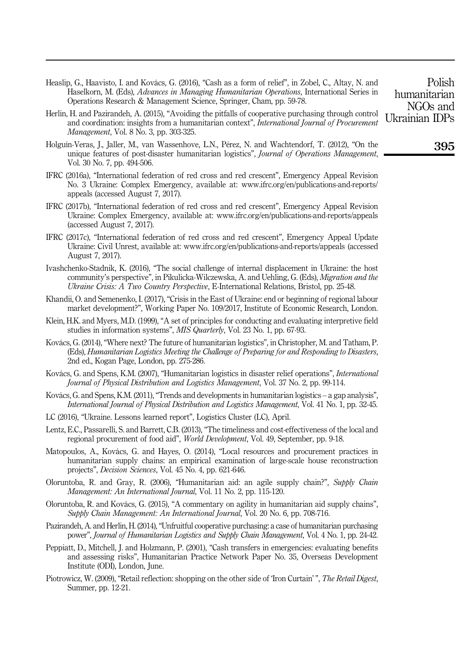- Heaslip, G., Haavisto, I. and Kovács, G. (2016), "Cash as a form of relief", in Zobel, C., Altay, N. and Haselkorn, M. (Eds), Advances in Managing Humanitarian Operations, International Series in Operations Research & Management Science, Springer, Cham, pp. 59-78.
- Herlin, H. and Pazirandeh, A. (2015), "Avoiding the pitfalls of cooperative purchasing through control and coordination: insights from a humanitarian context", International Journal of Procurement Management, Vol. 8 No. 3, pp. 303-325.
- Holguín-Veras, J., Jaller, M., van Wassenhove, L.N., Pérez, N. and Wachtendorf, T. (2012), "On the unique features of post-disaster humanitarian logistics", Journal of Operations Management, Vol. 30 No. 7, pp. 494-506.
- IFRC (2016a), "International federation of red cross and red crescent", Emergency Appeal Revision No. 3 Ukraine: Complex Emergency, available at: [www.ifrc.org/en/publications-and-reports/](www.ifrc.org/en/publications-and-reports/appeals) [appeals](www.ifrc.org/en/publications-and-reports/appeals) (accessed August 7, 2017).
- IFRC (2017b), "International federation of red cross and red crescent", Emergency Appeal Revision Ukraine: Complex Emergency, available at:<www.ifrc.org/en/publications-and-reports/appeals> (accessed August 7, 2017).
- IFRC (2017c), "International federation of red cross and red crescent", Emergency Appeal Update Ukraine: Civil Unrest, available at:<www.ifrc.org/en/publications-and-reports/appeals> (accessed August 7, 2017).
- Ivashchenko-Stadnik, K. (2016), "The social challenge of internal displacement in Ukraine: the host community's perspective", in Pikulicka-Wilczewska, A. and Uehling, G. (Eds), Migration and the Ukraine Crisis: A Two Country Perspective, E-International Relations, Bristol, pp. 25-48.
- Khandii, O. and Semenenko, I. (2017), "Crisis in the East of Ukraine: end or beginning of regional labour market development?", Working Paper No. 109/2017, Institute of Economic Research, London.
- Klein, H.K. and Myers, M.D. (1999), "A set of principles for conducting and evaluating interpretive field studies in information systems", MIS Quarterly, Vol. 23 No. 1, pp. 67-93.
- Kovács, G. (2014), "Where next? The future of humanitarian logistics", in Christopher, M. and Tatham, P. (Eds), Humanitarian Logistics Meeting the Challenge of Preparing for and Responding to Disasters, 2nd ed., Kogan Page, London, pp. 275-286.
- Kovács, G. and Spens, K.M. (2007), "Humanitarian logistics in disaster relief operations", *International* Journal of Physical Distribution and Logistics Management, Vol. 37 No. 2, pp. 99-114.
- Kovács, G. and Spens, K.M. (2011),"Trends and developments in humanitarian logistics a gap analysis", International Journal of Physical Distribution and Logistics Management, Vol. 41 No. 1, pp. 32-45.
- LC (2016), "Ukraine. Lessons learned report", Logistics Cluster (LC), April.
- Lentz, E.C., Passarelli, S. and Barrett, C.B. (2013), "The timeliness and cost-effectiveness of the local and regional procurement of food aid", World Development, Vol. 49, September, pp. 9-18.
- Matopoulos, A., Kovács, G. and Hayes, O. (2014), "Local resources and procurement practices in humanitarian supply chains: an empirical examination of large-scale house reconstruction projects", Decision Sciences, Vol. 45 No. 4, pp. 621-646.
- Oloruntoba, R. and Gray, R. (2006), "Humanitarian aid: an agile supply chain?", Supply Chain Management: An International Journal, Vol. 11 No. 2, pp. 115-120.
- Oloruntoba, R. and Kovács, G. (2015), "A commentary on agility in humanitarian aid supply chains", Supply Chain Management: An International Journal, Vol. 20 No. 6, pp. 708-716.
- Pazirandeh, A. and Herlin, H. (2014),"Unfruitful cooperative purchasing: a case of humanitarian purchasing power", Journal of Humanitarian Logistics and Supply Chain Management, Vol. 4 No. 1, pp. 24-42.
- Peppiatt, D., Mitchell, J. and Holzmann, P. (2001), "Cash transfers in emergencies: evaluating benefits and assessing risks", Humanitarian Practice Network Paper No. 35, Overseas Development Institute (ODI), London, June.
- Piotrowicz, W. (2009), "Retail reflection: shopping on the other side of 'Iron Curtain'", The Retail Digest, Summer, pp. 12-21.

Polish humanitarian NGOs and Ukrainian IDPs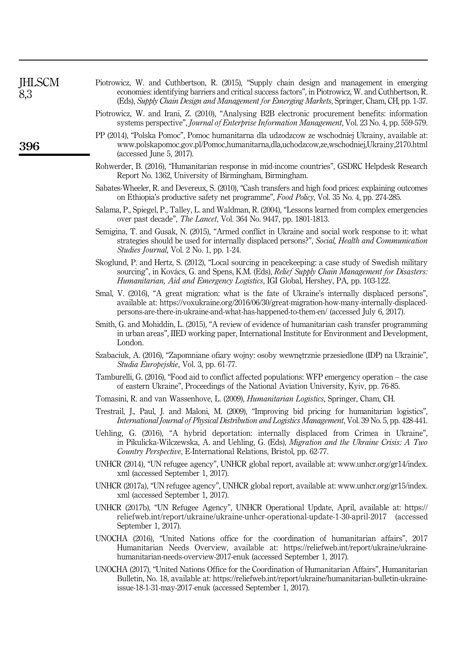| <b>IHLSCM</b><br>8,3 | Piotrowicz, W. and Cuthbertson, R. (2015), "Supply chain design and management in emerging<br>economies: identifying barriers and critical success factors", in Piotrowicz, W. and Cuthbertson, R.<br>(Eds), Supply Chain Design and Management for Emerging Markets, Springer, Cham, CH, pp. 1-37. |
|----------------------|-----------------------------------------------------------------------------------------------------------------------------------------------------------------------------------------------------------------------------------------------------------------------------------------------------|
|                      | Piotrowicz, W. and Irani, Z. (2010), "Analysing B2B electronic procurement benefits: information<br>systems perspective", Journal of Enterprise Information Management, Vol. 23 No. 4, pp. 559-579.                                                                                                 |
| 396                  | PP (2014), "Polska Pomoc", Pomoc humanitarna dla udzodzcow ze wschodniej Ukrainy, available at:<br>www.polskapomoc.gov.pl/Pomoc.humanitarna.dla.uchodzcow.ze.wschodniej.Ukrainy.2170.html<br>(accessed June 5, 2017).                                                                               |
|                      | Rohwerder, B. (2016), "Humanitarian response in mid-income countries", GSDRC Helpdesk Research<br>Report No. 1362, University of Birmingham, Birmingham.                                                                                                                                            |
|                      | Sabates-Wheeler, R. and Devereux, S. (2010), "Cash transfers and high food prices: explaining outcomes<br>on Ethiopia's productive safety net programme", Food Policy, Vol. 35 No. 4, pp. 274-285.                                                                                                  |
|                      | Salama, P., Spiegel, P., Talley, L. and Waldman, R. (2004), "Lessons learned from complex emergencies<br>over past decade", <i>The Lancet</i> , Vol. 364 No. 9447, pp. 1801-1813.                                                                                                                   |
|                      | Semigina, T. and Gusak, N. (2015), "Armed conflict in Ukraine and social work response to it: what<br>strategies should be used for internally displaced persons?", Social, Health and Communication<br>Studies Journal, Vol. 2 No. 1, pp. 1-24.                                                    |
|                      | Skoglund, P. and Hertz, S. (2012), "Local sourcing in peacekeeping: a case study of Swedish military<br>sourcing", in Kovács, G. and Spens, K.M. (Eds), Relief Supply Chain Management for Disasters:<br><i>Humanitarian, Aid and Emergency Logistics, IGI Global, Hershey, PA, pp. 103-122.</i>    |
|                      | Smal, V. (2016), "A great migration: what is the fate of Ukraine's internally displaced persons",<br>available at: https://voxukraine.org/2016/06/30/great-migration-how-many-internally-displaced-<br>persons-are-there-in-ukraine-and-what-has-happened-to-them-en/ (accessed July 6, 2017).      |
|                      | Smith, G. and Mohiddin, L. (2015), "A review of evidence of humanitarian cash transfer programming<br>in urban areas", IIED working paper, International Institute for Environment and Development,<br>London.                                                                                      |
|                      | Szabaciuk, A. (2016), "Zapomniane ofiary wojny: osoby wewnętrznie przesiedlone (IDP) na Ukrainie",<br>Studia Europejskie, Vol. 3, pp. 61-77.                                                                                                                                                        |
|                      | Tamburelli, G. (2016), "Food aid to conflict affected populations: WFP emergency operation – the case<br>of eastern Ukraine", Proceedings of the National Aviation University, Kyiv, pp. 76-85.                                                                                                     |
|                      | Tomasini, R. and van Wassenhove, L. (2009), Humanitarian Logistics, Springer, Cham, CH.                                                                                                                                                                                                             |
|                      | Trestrail, J., Paul, J. and Maloni, M. (2009), "Improving bid pricing for humanitarian logistics",<br>International Journal of Physical Distribution and Logistics Management, Vol. 39 No. 5, pp. 428-441.                                                                                          |
|                      | Uehling, G. (2016), "A hybrid deportation: internally displaced from Crimea in Ukraine",<br>in Pikulicka-Wilczewska, A. and Uehling, G. (Eds), <i>Migration and the Ukraine Crisis: A Two</i><br>Country Perspective, E-International Relations, Bristol, pp. 62-77.                                |
|                      | UNHCR (2014), "UN refugee agency", UNHCR global report, available at: www.unhcr.org/gr14/index.<br>xml (accessed September 1, 2017).                                                                                                                                                                |
|                      | UNHCR (2017a), "UN refugee agency", UNHCR global report, available at: www.unhcr.org/gr15/index.<br>xml (accessed September 1, 2017).                                                                                                                                                               |
|                      | UNHCR (2017b), "UN Refugee Agency", UNHCR Operational Update, April, available at: https://<br>reliefweb.int/report/ukraine/ukraine-unhcr-operational-update-1-30-april-2017<br>(accessed<br>September 1, 2017).                                                                                    |
|                      | UNOCHA (2016), "United Nations office for the coordination of humanitarian affairs", 2017<br>Humanitarian Needs Overview, available at: https://reliefweb.int/report/ukraine/ukraine-<br>humanitarian-needs-overview-2017-enuk (accessed September 1, 2017).                                        |
|                      | UNOCHA (2017), "United Nations Office for the Coordination of Humanitarian Affairs", Humanitarian<br>Bulletin, No. 18, available at: https://reliefweb.int/report/ukraine/humanitarian-bulletin-ukraine-<br>issue-18-1-31-may-2017-enuk (accessed September 1, 2017).                               |